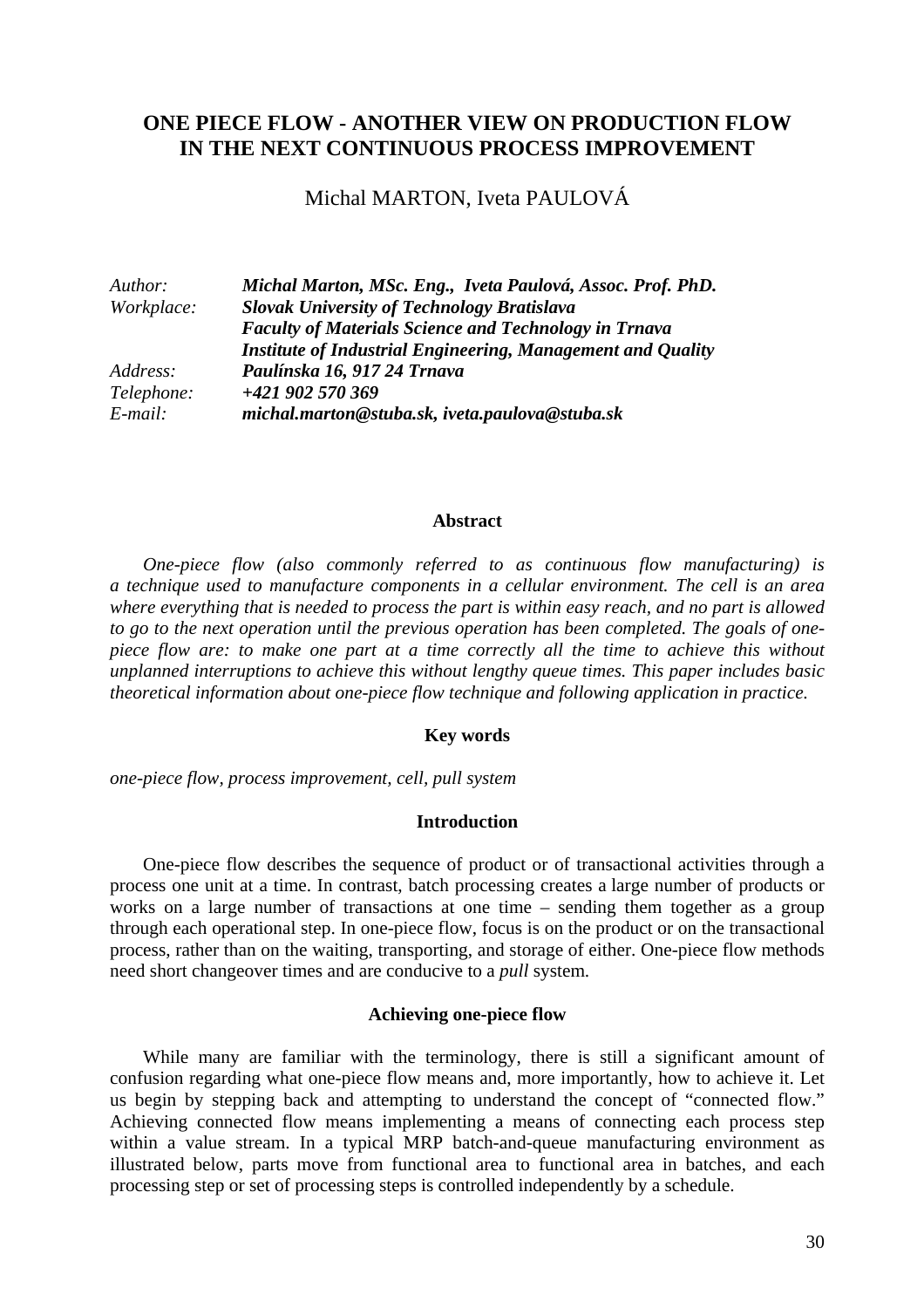# **ONE PIECE FLOW - ANOTHER VIEW ON PRODUCTION FLOW IN THE NEXT CONTINUOUS PROCESS IMPROVEMENT**

Michal MARTON, Iveta PAULOVÁ

| Author:    | Michal Marton, MSc. Eng., Iveta Paulová, Assoc. Prof. PhD.   |  |
|------------|--------------------------------------------------------------|--|
| Workplace: | <b>Slovak University of Technology Bratislava</b>            |  |
|            | <b>Faculty of Materials Science and Technology in Trnava</b> |  |
|            | Institute of Industrial Engineering, Management and Quality  |  |
| Address:   | Paulínska 16, 917 24 Trnava                                  |  |
| Telephone: | +421 902 570 369                                             |  |
| E-mail:    | michal.marton@stuba.sk, iveta.paulova@stuba.sk               |  |

### **Abstract**

*One-piece flow (also commonly referred to as continuous flow manufacturing) is a technique used to manufacture components in a cellular environment. The cell is an area where everything that is needed to process the part is within easy reach, and no part is allowed to go to the next operation until the previous operation has been completed. The goals of onepiece flow are: to make one part at a time correctly all the time to achieve this without unplanned interruptions to achieve this without lengthy queue times. This paper includes basic theoretical information about one-piece flow technique and following application in practice.* 

#### **Key words**

*one-piece flow, process improvement, cell, pull system* 

#### **Introduction**

One-piece flow describes the sequence of product or of transactional activities through a process one unit at a time. In contrast, batch processing creates a large number of products or works on a large number of transactions at one time – sending them together as a group through each operational step. In one-piece flow, focus is on the product or on the transactional process, rather than on the waiting, transporting, and storage of either. One-piece flow methods need short changeover times and are conducive to a *pull* system.

#### **Achieving one-piece flow**

While many are familiar with the terminology, there is still a significant amount of confusion regarding what one-piece flow means and, more importantly, how to achieve it. Let us begin by stepping back and attempting to understand the concept of "connected flow." Achieving connected flow means implementing a means of connecting each process step within a value stream. In a typical MRP batch-and-queue manufacturing environment as illustrated below, parts move from functional area to functional area in batches, and each processing step or set of processing steps is controlled independently by a schedule.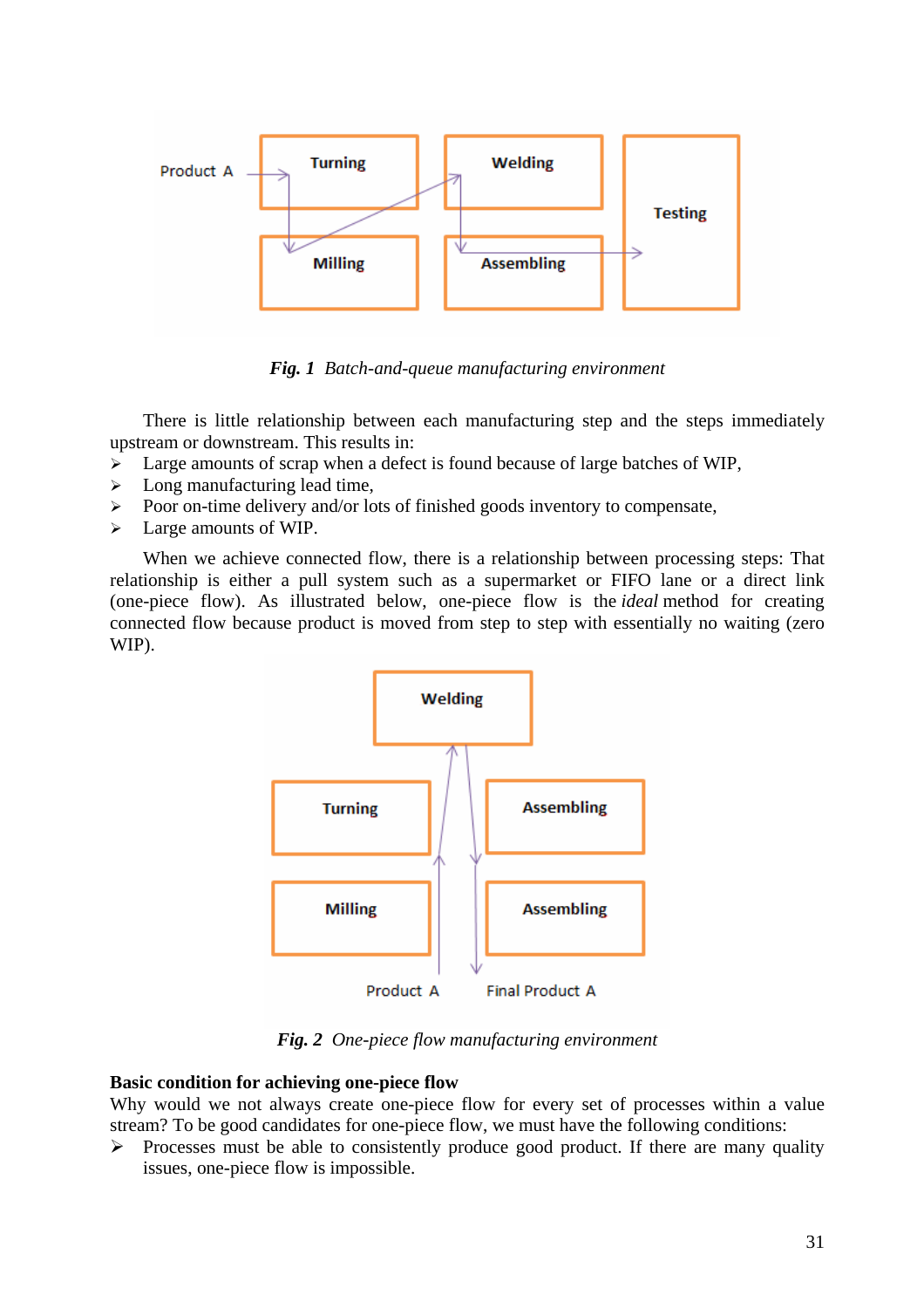

*Fig. 1 Batch-and-queue manufacturing environment* 

There is little relationship between each manufacturing step and the steps immediately upstream or downstream. This results in:

- $\triangleright$  Large amounts of scrap when a defect is found because of large batches of WIP,
- $\blacktriangleright$  Long manufacturing lead time,
- ¾ Poor on-time delivery and/or lots of finished goods inventory to compensate,
- $\triangleright$  Large amounts of WIP.

When we achieve connected flow, there is a relationship between processing steps: That relationship is either a pull system such as a supermarket or FIFO lane or a direct link (one-piece flow). As illustrated below, one-piece flow is the *ideal* method for creating connected flow because product is moved from step to step with essentially no waiting (zero WIP).



*Fig. 2 One-piece flow manufacturing environment* 

## **Basic condition for achieving one-piece flow**

Why would we not always create one-piece flow for every set of processes within a value stream? To be good candidates for one-piece flow, we must have the following conditions:

 $\triangleright$  Processes must be able to consistently produce good product. If there are many quality issues, one-piece flow is impossible.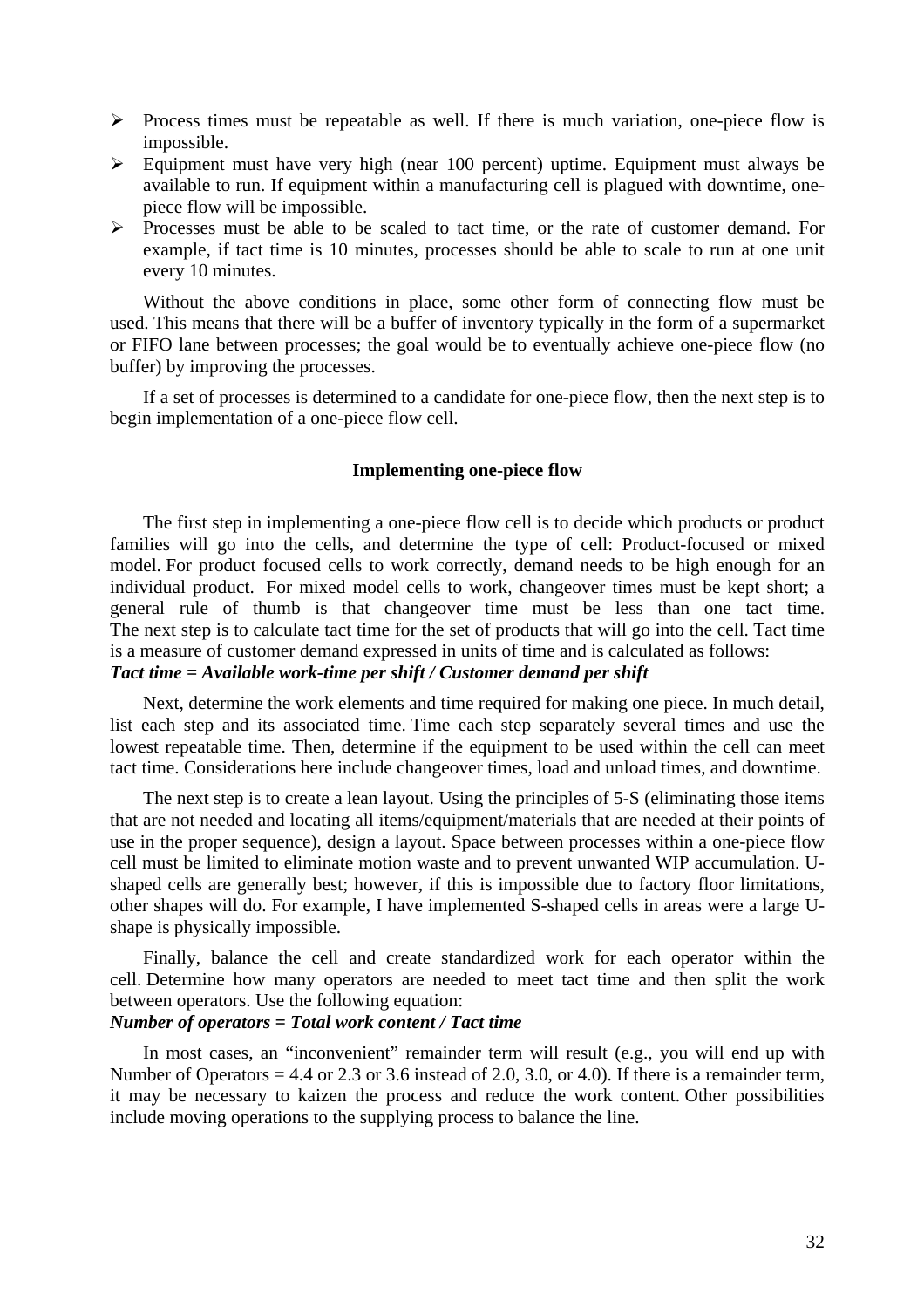- $\triangleright$  Process times must be repeatable as well. If there is much variation, one-piece flow is impossible.
- $\triangleright$  Equipment must have very high (near 100 percent) uptime. Equipment must always be available to run. If equipment within a manufacturing cell is plagued with downtime, onepiece flow will be impossible.
- ¾ Processes must be able to be scaled to tact time, or the rate of customer demand. For example, if tact time is 10 minutes, processes should be able to scale to run at one unit every 10 minutes.

Without the above conditions in place, some other form of connecting flow must be used. This means that there will be a buffer of inventory typically in the form of a supermarket or FIFO lane between processes; the goal would be to eventually achieve one-piece flow (no buffer) by improving the processes.

If a set of processes is determined to a candidate for one-piece flow, then the next step is to begin implementation of a one-piece flow cell.

### **Implementing one-piece flow**

The first step in implementing a one-piece flow cell is to decide which products or product families will go into the cells, and determine the type of cell: Product-focused or mixed model. For product focused cells to work correctly, demand needs to be high enough for an individual product. For mixed model cells to work, changeover times must be kept short; a general rule of thumb is that changeover time must be less than one tact time. The next step is to calculate tact time for the set of products that will go into the cell. Tact time is a measure of customer demand expressed in units of time and is calculated as follows:

# *Tact time = Available work-time per shift / Customer demand per shift*

Next, determine the work elements and time required for making one piece. In much detail, list each step and its associated time. Time each step separately several times and use the lowest repeatable time. Then, determine if the equipment to be used within the cell can meet tact time. Considerations here include changeover times, load and unload times, and downtime.

The next step is to create a lean layout. Using the principles of 5-S (eliminating those items that are not needed and locating all items/equipment/materials that are needed at their points of use in the proper sequence), design a layout. Space between processes within a one-piece flow cell must be limited to eliminate motion waste and to prevent unwanted WIP accumulation. Ushaped cells are generally best; however, if this is impossible due to factory floor limitations, other shapes will do. For example, I have implemented S-shaped cells in areas were a large Ushape is physically impossible.

Finally, balance the cell and create standardized work for each operator within the cell. Determine how many operators are needed to meet tact time and then split the work between operators. Use the following equation:

## *Number of operators = Total work content / Tact time*

In most cases, an "inconvenient" remainder term will result (e.g., you will end up with Number of Operators = 4.4 or 2.3 or 3.6 instead of 2.0, 3.0, or 4.0). If there is a remainder term, it may be necessary to kaizen the process and reduce the work content. Other possibilities include moving operations to the supplying process to balance the line.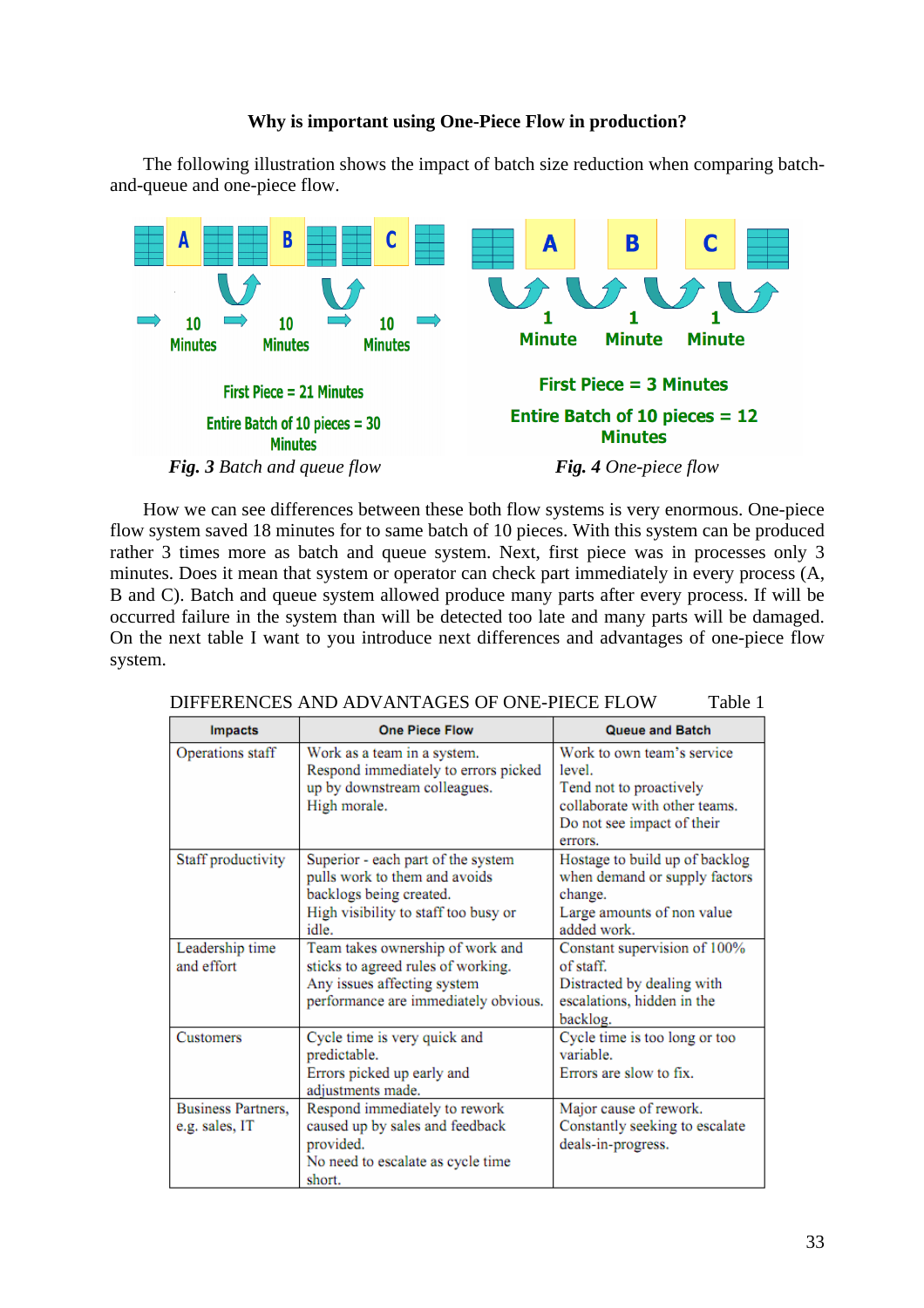## **Why is important using One-Piece Flow in production?**

The following illustration shows the impact of batch size reduction when comparing batchand-queue and one-piece flow.



How we can see differences between these both flow systems is very enormous. One-piece flow system saved 18 minutes for to same batch of 10 pieces. With this system can be produced rather 3 times more as batch and queue system. Next, first piece was in processes only 3 minutes. Does it mean that system or operator can check part immediately in every process (A, B and C). Batch and queue system allowed produce many parts after every process. If will be occurred failure in the system than will be detected too late and many parts will be damaged. On the next table I want to you introduce next differences and advantages of one-piece flow system.

| <b>Impacts</b>                              | <b>One Piece Flow</b>                                                                                                                           | <b>Queue and Batch</b>                                                                                                                    |  |
|---------------------------------------------|-------------------------------------------------------------------------------------------------------------------------------------------------|-------------------------------------------------------------------------------------------------------------------------------------------|--|
| Operations staff                            | Work as a team in a system.<br>Respond immediately to errors picked<br>up by downstream colleagues.<br>High morale.                             | Work to own team's service<br>level.<br>Tend not to proactively<br>collaborate with other teams.<br>Do not see impact of their<br>errors. |  |
| Staff productivity                          | Superior - each part of the system<br>pulls work to them and avoids<br>backlogs being created.<br>High visibility to staff too busy or<br>idle. | Hostage to build up of backlog<br>when demand or supply factors<br>change.<br>Large amounts of non value<br>added work.                   |  |
| Leadership time<br>and effort               | Team takes ownership of work and<br>sticks to agreed rules of working.<br>Any issues affecting system<br>performance are immediately obvious.   | Constant supervision of 100%<br>of staff.<br>Distracted by dealing with<br>escalations, hidden in the<br>backlog.                         |  |
| Customers                                   | Cycle time is very quick and<br>predictable.<br>Errors picked up early and<br>adjustments made.                                                 | Cycle time is too long or too<br>variable.<br>Errors are slow to fix.                                                                     |  |
| <b>Business Partners,</b><br>e.g. sales, IT | Respond immediately to rework<br>caused up by sales and feedback<br>provided.<br>No need to escalate as cycle time<br>short.                    | Major cause of rework.<br>Constantly seeking to escalate<br>deals-in-progress.                                                            |  |

DIFFERENCES AND ADVANTAGES OF ONE-PIECE FLOW Table 1